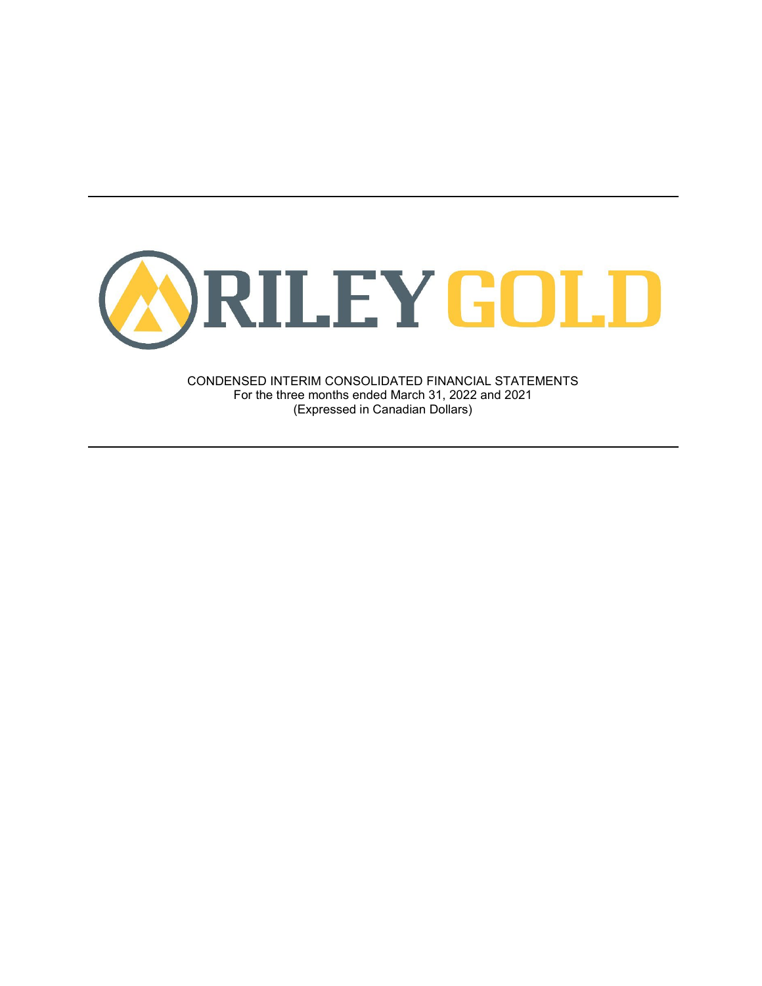

CONDENSED INTERIM CONSOLIDATED FINANCIAL STATEMENTS For the three months ended March 31, 2022 and 2021 (Expressed in Canadian Dollars)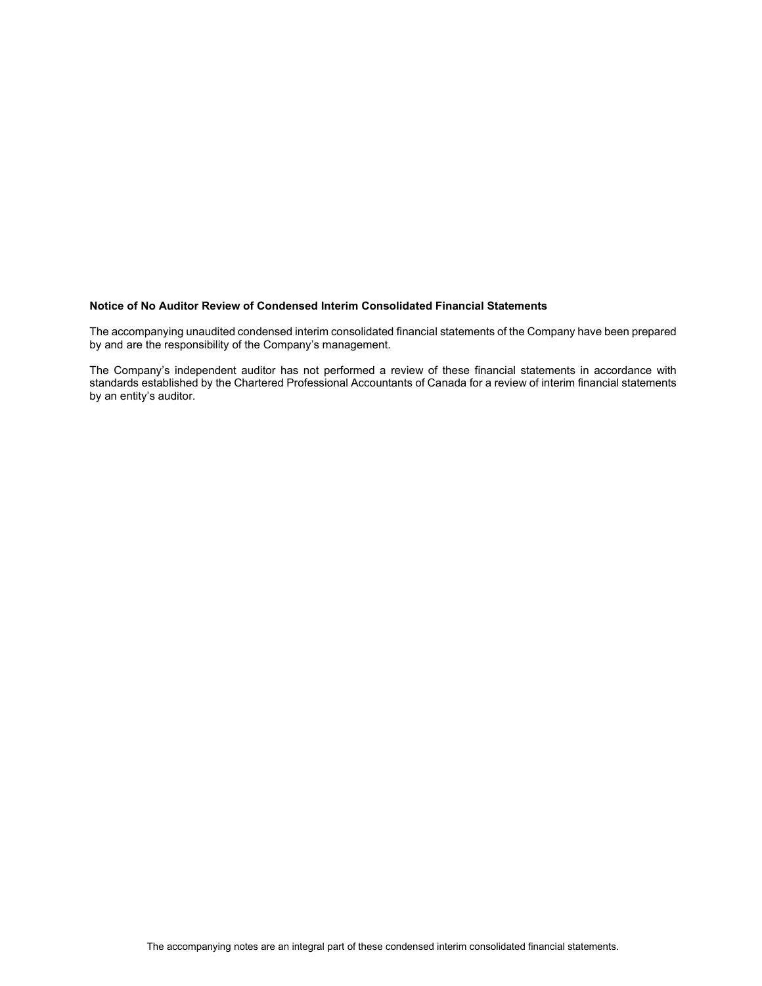#### **Notice of No Auditor Review of Condensed Interim Consolidated Financial Statements**

The accompanying unaudited condensed interim consolidated financial statements of the Company have been prepared by and are the responsibility of the Company's management.

The Company's independent auditor has not performed a review of these financial statements in accordance with standards established by the Chartered Professional Accountants of Canada for a review of interim financial statements by an entity's auditor.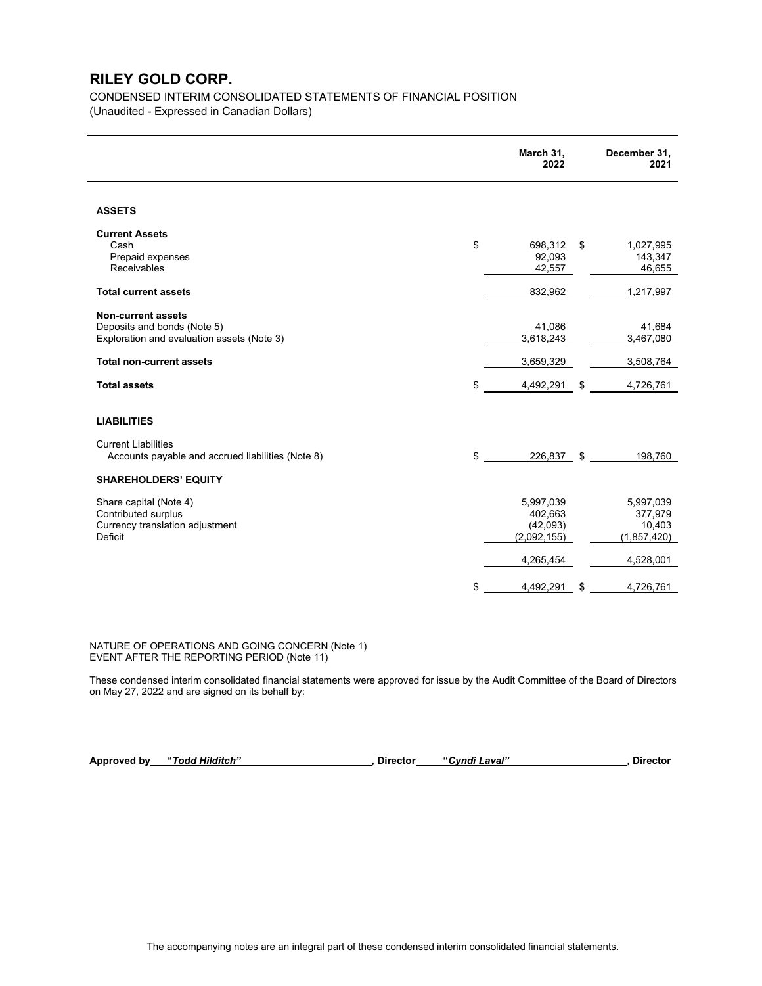CONDENSED INTERIM CONSOLIDATED STATEMENTS OF FINANCIAL POSITION (Unaudited - Expressed in Canadian Dollars)

|                                                                                                        | March 31,<br>2022                               | December 31,<br>2021                          |
|--------------------------------------------------------------------------------------------------------|-------------------------------------------------|-----------------------------------------------|
| <b>ASSETS</b>                                                                                          |                                                 |                                               |
| <b>Current Assets</b><br>\$<br>Cash<br>Prepaid expenses<br>Receivables                                 | 698,312<br>92,093<br>42,557                     | \$<br>1,027,995<br>143,347<br>46,655          |
| <b>Total current assets</b>                                                                            | 832,962                                         | 1,217,997                                     |
| <b>Non-current assets</b><br>Deposits and bonds (Note 5)<br>Exploration and evaluation assets (Note 3) | 41,086<br>3,618,243                             | 41,684<br>3,467,080                           |
| <b>Total non-current assets</b>                                                                        | 3,659,329                                       | 3,508,764                                     |
| \$<br><b>Total assets</b>                                                                              | 4,492,291                                       | \$<br>4,726,761                               |
| <b>LIABILITIES</b>                                                                                     |                                                 |                                               |
| <b>Current Liabilities</b><br>\$<br>Accounts payable and accrued liabilities (Note 8)                  | 226,837 \$                                      | 198,760                                       |
| <b>SHAREHOLDERS' EQUITY</b>                                                                            |                                                 |                                               |
| Share capital (Note 4)<br>Contributed surplus<br>Currency translation adjustment<br>Deficit            | 5,997,039<br>402,663<br>(42,093)<br>(2,092,155) | 5,997,039<br>377,979<br>10,403<br>(1,857,420) |
|                                                                                                        | 4,265,454                                       | 4,528,001                                     |
| \$                                                                                                     | 4,492,291                                       | \$<br>4,726,761                               |

NATURE OF OPERATIONS AND GOING CONCERN (Note 1) EVENT AFTER THE REPORTING PERIOD (Note 11)

These condensed interim consolidated financial statements were approved for issue by the Audit Committee of the Board of Directors on May 27, 2022 and are signed on its behalf by:

**Approved by "***Todd Hilditch"* **, Director "***Cyndi Laval"* **, Director**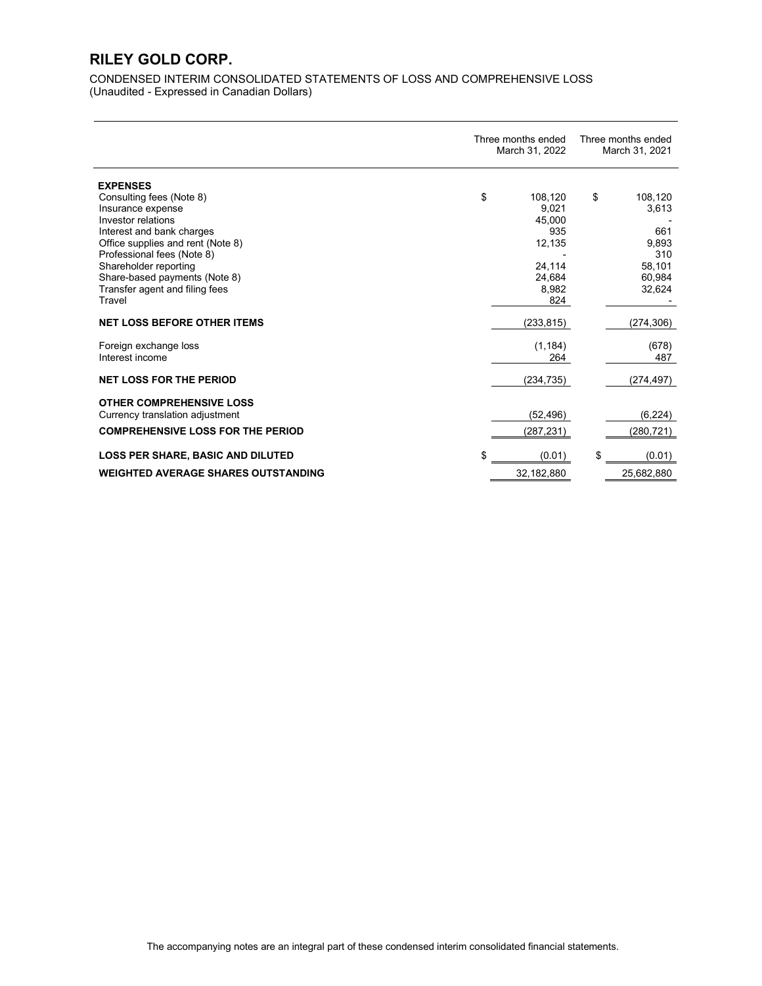CONDENSED INTERIM CONSOLIDATED STATEMENTS OF LOSS AND COMPREHENSIVE LOSS (Unaudited - Expressed in Canadian Dollars)

|                                            | Three months ended<br>March 31, 2022 | Three months ended<br>March 31, 2021 |
|--------------------------------------------|--------------------------------------|--------------------------------------|
| <b>EXPENSES</b>                            |                                      |                                      |
| Consulting fees (Note 8)                   | \$<br>108,120                        | \$<br>108,120                        |
| Insurance expense                          | 9.021                                | 3,613                                |
| Investor relations                         | 45,000                               |                                      |
| Interest and bank charges                  | 935                                  | 661                                  |
| Office supplies and rent (Note 8)          | 12,135                               | 9,893                                |
| Professional fees (Note 8)                 |                                      | 310                                  |
| Shareholder reporting                      | 24,114                               | 58,101                               |
| Share-based payments (Note 8)              | 24.684                               | 60,984                               |
| Transfer agent and filing fees<br>Travel   | 8,982<br>824                         | 32,624                               |
|                                            |                                      |                                      |
| <b>NET LOSS BEFORE OTHER ITEMS</b>         | (233, 815)                           | (274, 306)                           |
| Foreign exchange loss                      | (1, 184)                             | (678)                                |
| Interest income                            | 264                                  | 487                                  |
|                                            |                                      |                                      |
| <b>NET LOSS FOR THE PERIOD</b>             | (234, 735)                           | (274, 497)                           |
| <b>OTHER COMPREHENSIVE LOSS</b>            |                                      |                                      |
| Currency translation adjustment            | (52, 496)                            | (6, 224)                             |
| <b>COMPREHENSIVE LOSS FOR THE PERIOD</b>   |                                      |                                      |
|                                            | (287,231)                            | (280,721)                            |
| <b>LOSS PER SHARE, BASIC AND DILUTED</b>   | \$<br>(0.01)                         | (0.01)                               |
| <b>WEIGHTED AVERAGE SHARES OUTSTANDING</b> | 32,182,880                           | 25,682,880                           |
|                                            |                                      |                                      |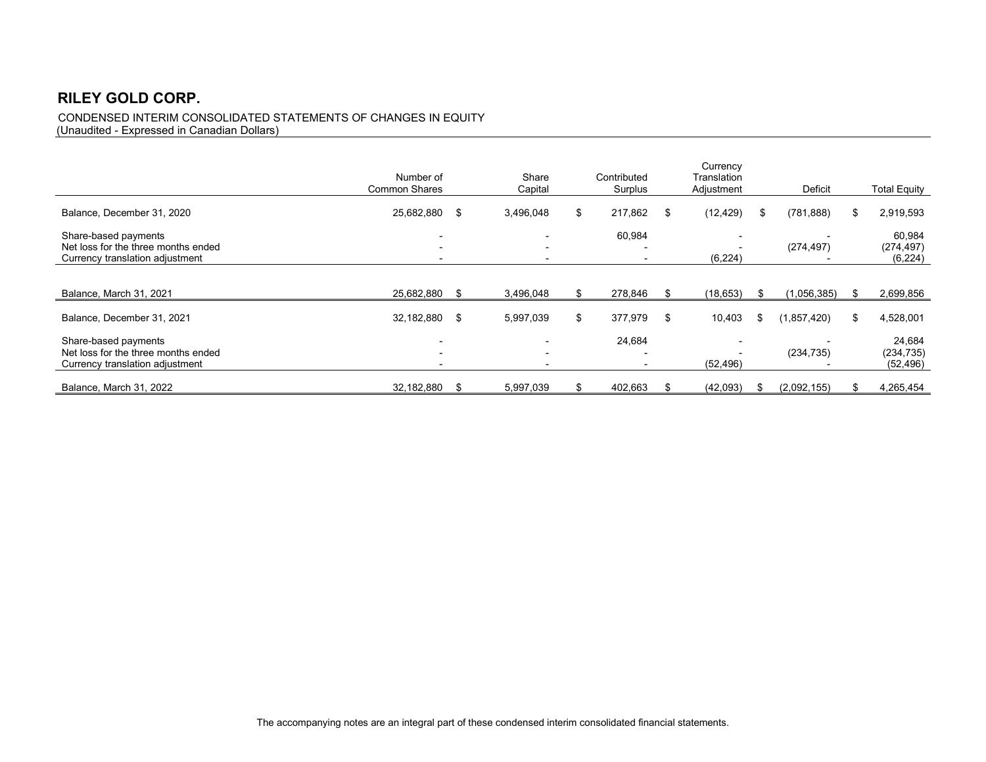### CONDENSED INTERIM CONSOLIDATED STATEMENTS OF CHANGES IN EQUITY (Unaudited - Expressed in Canadian Dollars)

|                                                                                                | Number of<br><b>Common Shares</b> |     | Share<br>Capital         |    | Contributed<br>Surplus                                         |    | Currency<br>Translation<br>Adjustment                  |     | Deficit     |     | <b>Total Equity</b>               |
|------------------------------------------------------------------------------------------------|-----------------------------------|-----|--------------------------|----|----------------------------------------------------------------|----|--------------------------------------------------------|-----|-------------|-----|-----------------------------------|
| Balance, December 31, 2020                                                                     | 25,682,880                        | \$  | 3,496,048                | \$ | 217,862                                                        | \$ | (12, 429)                                              | \$  | (781, 888)  | \$  | 2,919,593                         |
| Share-based payments<br>Net loss for the three months ended<br>Currency translation adjustment | $\overline{\phantom{0}}$          |     | $\overline{\phantom{0}}$ |    | 60,984<br>$\overline{\phantom{0}}$<br>-                        |    | $\overline{\phantom{a}}$<br>$\blacksquare$<br>(6, 224) |     | (274, 497)  |     | 60,984<br>(274, 497)<br>(6, 224)  |
|                                                                                                |                                   |     |                          |    |                                                                |    |                                                        |     |             |     |                                   |
| Balance, March 31, 2021                                                                        | 25,682,880                        | -S  | 3,496,048                | S. | 278,846                                                        | £. | (18, 653)                                              | \$  | (1,056,385) | \$. | 2,699,856                         |
| Balance, December 31, 2021                                                                     | 32,182,880                        | \$  | 5,997,039                | \$ | 377,979                                                        | \$ | 10,403                                                 | \$. | (1,857,420) | \$  | 4,528,001                         |
| Share-based payments<br>Net loss for the three months ended<br>Currency translation adjustment |                                   |     |                          |    | 24,684<br>$\overline{\phantom{0}}$<br>$\overline{\phantom{0}}$ |    | (52, 496)                                              |     | (234, 735)  |     | 24,684<br>(234, 735)<br>(52, 496) |
| Balance, March 31, 2022                                                                        | 32,182,880                        | \$. | 5,997,039                |    | 402,663                                                        | \$ | (42,093)                                               |     | (2,092,155) | \$. | 4,265,454                         |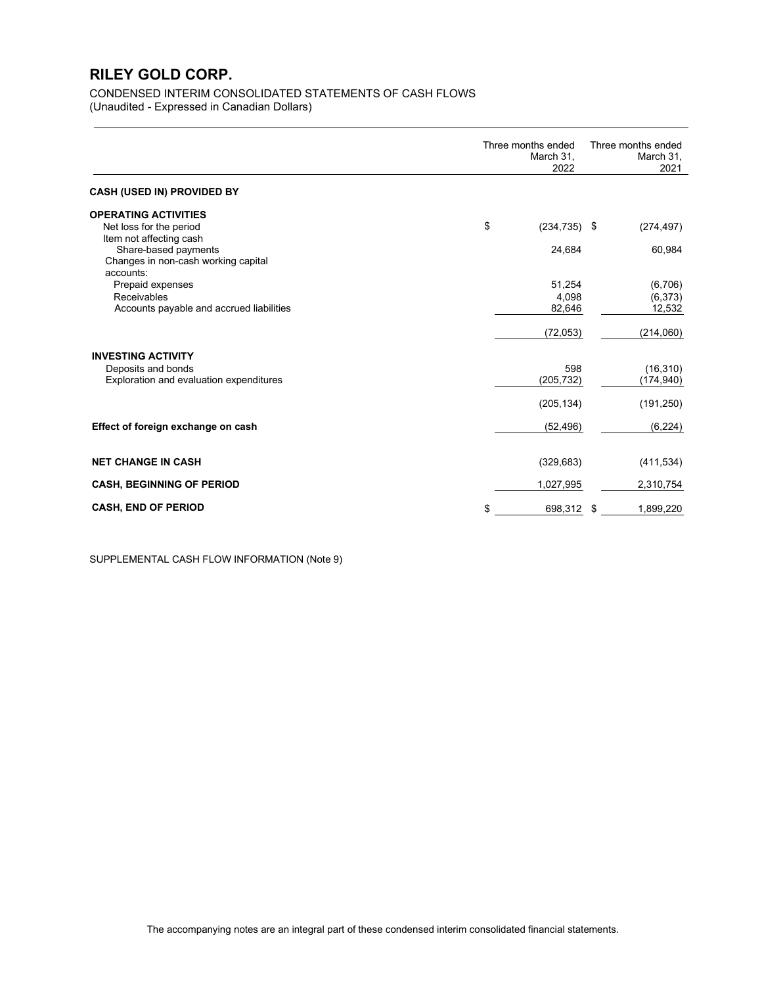### CONDENSED INTERIM CONSOLIDATED STATEMENTS OF CASH FLOWS (Unaudited - Expressed in Canadian Dollars)

|                                                                                                     | Three months ended<br>March 31,<br>2022 | Three months ended<br>March 31,<br>2021 |
|-----------------------------------------------------------------------------------------------------|-----------------------------------------|-----------------------------------------|
| <b>CASH (USED IN) PROVIDED BY</b>                                                                   |                                         |                                         |
| <b>OPERATING ACTIVITIES</b>                                                                         |                                         |                                         |
| Net loss for the period                                                                             | \$<br>$(234, 735)$ \$                   | (274, 497)                              |
| Item not affecting cash<br>Share-based payments<br>Changes in non-cash working capital<br>accounts: | 24,684                                  | 60,984                                  |
| Prepaid expenses                                                                                    | 51,254                                  | (6,706)                                 |
| Receivables                                                                                         | 4,098                                   | (6, 373)                                |
| Accounts payable and accrued liabilities                                                            | 82,646                                  | 12,532                                  |
|                                                                                                     | (72, 053)                               | (214,060)                               |
| <b>INVESTING ACTIVITY</b>                                                                           |                                         |                                         |
| Deposits and bonds                                                                                  | 598                                     | (16, 310)                               |
| Exploration and evaluation expenditures                                                             | (205, 732)                              | (174, 940)                              |
|                                                                                                     | (205, 134)                              | (191, 250)                              |
| Effect of foreign exchange on cash                                                                  | (52, 496)                               | (6, 224)                                |
| <b>NET CHANGE IN CASH</b>                                                                           | (329, 683)                              | (411, 534)                              |
| <b>CASH, BEGINNING OF PERIOD</b>                                                                    | 1,027,995                               | 2,310,754                               |
| <b>CASH, END OF PERIOD</b>                                                                          | \$<br>698,312 \$                        | 1,899,220                               |

SUPPLEMENTAL CASH FLOW INFORMATION (Note 9)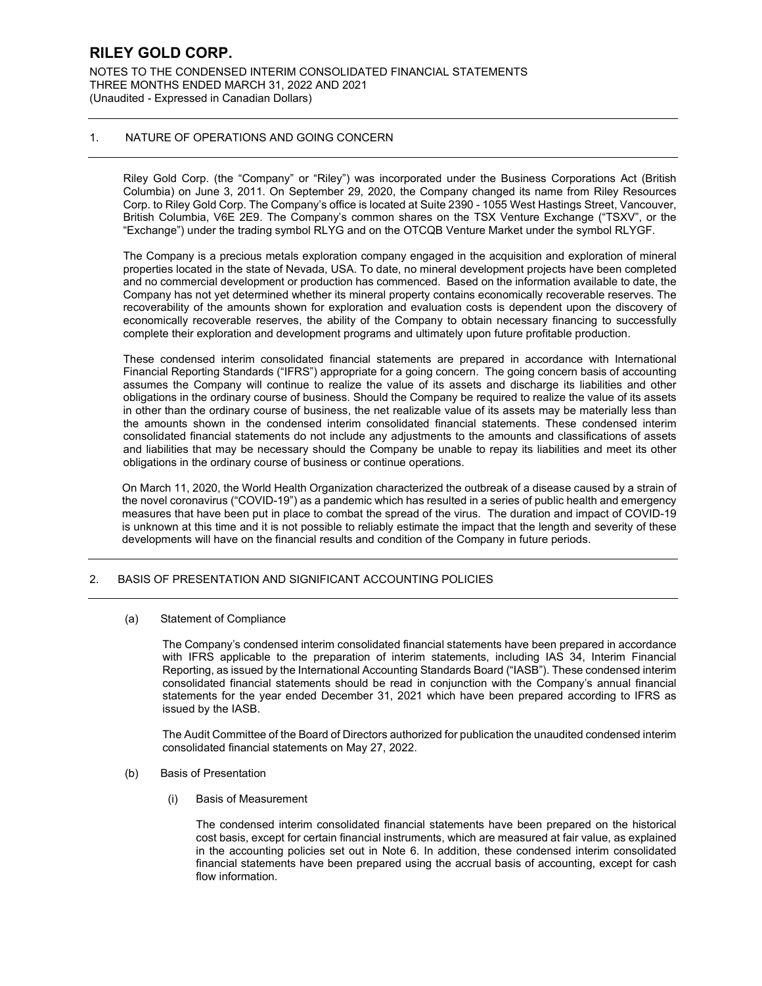NOTES TO THE CONDENSED INTERIM CONSOLIDATED FINANCIAL STATEMENTS THREE MONTHS ENDED MARCH 31, 2022 AND 2021 (Unaudited - Expressed in Canadian Dollars)

#### 1. NATURE OF OPERATIONS AND GOING CONCERN

Riley Gold Corp. (the "Company" or "Riley") was incorporated under the Business Corporations Act (British Columbia) on June 3, 2011. On September 29, 2020, the Company changed its name from Riley Resources Corp. to Riley Gold Corp. The Company's office is located at Suite 2390 - 1055 West Hastings Street, Vancouver, British Columbia, V6E 2E9. The Company's common shares on the TSX Venture Exchange ("TSXV", or the "Exchange") under the trading symbol RLYG and on the OTCQB Venture Market under the symbol RLYGF.

The Company is a precious metals exploration company engaged in the acquisition and exploration of mineral properties located in the state of Nevada, USA. To date, no mineral development projects have been completed and no commercial development or production has commenced. Based on the information available to date, the Company has not yet determined whether its mineral property contains economically recoverable reserves. The recoverability of the amounts shown for exploration and evaluation costs is dependent upon the discovery of economically recoverable reserves, the ability of the Company to obtain necessary financing to successfully complete their exploration and development programs and ultimately upon future profitable production.

These condensed interim consolidated financial statements are prepared in accordance with International Financial Reporting Standards ("IFRS") appropriate for a going concern. The going concern basis of accounting assumes the Company will continue to realize the value of its assets and discharge its liabilities and other obligations in the ordinary course of business. Should the Company be required to realize the value of its assets in other than the ordinary course of business, the net realizable value of its assets may be materially less than the amounts shown in the condensed interim consolidated financial statements. These condensed interim consolidated financial statements do not include any adjustments to the amounts and classifications of assets and liabilities that may be necessary should the Company be unable to repay its liabilities and meet its other obligations in the ordinary course of business or continue operations.

On March 11, 2020, the World Health Organization characterized the outbreak of a disease caused by a strain of the novel coronavirus ("COVID-19") as a pandemic which has resulted in a series of public health and emergency measures that have been put in place to combat the spread of the virus. The duration and impact of COVID-19 is unknown at this time and it is not possible to reliably estimate the impact that the length and severity of these developments will have on the financial results and condition of the Company in future periods.

### 2. BASIS OF PRESENTATION AND SIGNIFICANT ACCOUNTING POLICIES

(a) Statement of Compliance

The Company's condensed interim consolidated financial statements have been prepared in accordance with IFRS applicable to the preparation of interim statements, including IAS 34, Interim Financial Reporting, as issued by the International Accounting Standards Board ("IASB"). These condensed interim consolidated financial statements should be read in conjunction with the Company's annual financial statements for the year ended December 31, 2021 which have been prepared according to IFRS as issued by the IASB.

The Audit Committee of the Board of Directors authorized for publication the unaudited condensed interim consolidated financial statements on May 27, 2022.

#### (b) Basis of Presentation

(i) Basis of Measurement

The condensed interim consolidated financial statements have been prepared on the historical cost basis, except for certain financial instruments, which are measured at fair value, as explained in the accounting policies set out in Note 6. In addition, these condensed interim consolidated financial statements have been prepared using the accrual basis of accounting, except for cash flow information.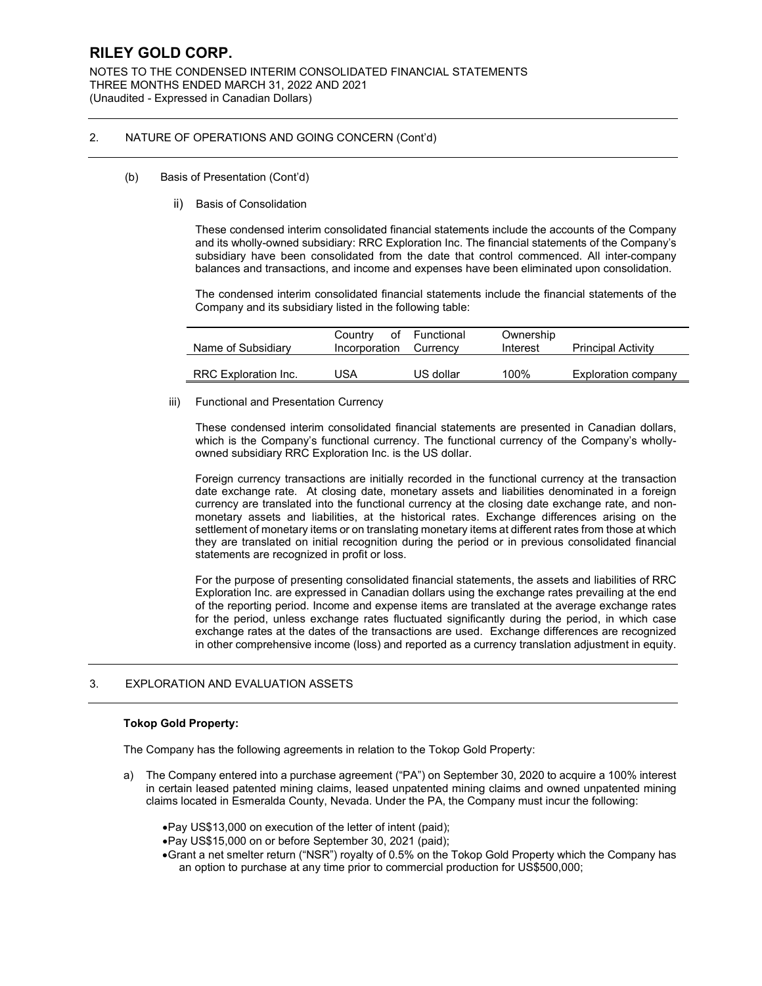NOTES TO THE CONDENSED INTERIM CONSOLIDATED FINANCIAL STATEMENTS THREE MONTHS ENDED MARCH 31, 2022 AND 2021 (Unaudited - Expressed in Canadian Dollars)

### 2. NATURE OF OPERATIONS AND GOING CONCERN (Cont'd)

- (b) Basis of Presentation (Cont'd)
	- ii) Basis of Consolidation

These condensed interim consolidated financial statements include the accounts of the Company and its wholly-owned subsidiary: RRC Exploration Inc. The financial statements of the Company's subsidiary have been consolidated from the date that control commenced. All inter-company balances and transactions, and income and expenses have been eliminated upon consolidation.

The condensed interim consolidated financial statements include the financial statements of the Company and its subsidiary listed in the following table:

| Name of Subsidiary   | Country<br>Incorporation Currency | of Functional | Ownership<br>Interest | <b>Principal Activity</b> |
|----------------------|-----------------------------------|---------------|-----------------------|---------------------------|
| RRC Exploration Inc. | JSA                               | US dollar     | 100%                  | Exploration company       |

#### iii) Functional and Presentation Currency

These condensed interim consolidated financial statements are presented in Canadian dollars, which is the Company's functional currency. The functional currency of the Company's whollyowned subsidiary RRC Exploration Inc. is the US dollar.

Foreign currency transactions are initially recorded in the functional currency at the transaction date exchange rate. At closing date, monetary assets and liabilities denominated in a foreign currency are translated into the functional currency at the closing date exchange rate, and nonmonetary assets and liabilities, at the historical rates. Exchange differences arising on the settlement of monetary items or on translating monetary items at different rates from those at which they are translated on initial recognition during the period or in previous consolidated financial statements are recognized in profit or loss.

For the purpose of presenting consolidated financial statements, the assets and liabilities of RRC Exploration Inc. are expressed in Canadian dollars using the exchange rates prevailing at the end of the reporting period. Income and expense items are translated at the average exchange rates for the period, unless exchange rates fluctuated significantly during the period, in which case exchange rates at the dates of the transactions are used. Exchange differences are recognized in other comprehensive income (loss) and reported as a currency translation adjustment in equity.

### 3. EXPLORATION AND EVALUATION ASSETS

### **Tokop Gold Property:**

The Company has the following agreements in relation to the Tokop Gold Property:

- a) The Company entered into a purchase agreement ("PA") on September 30, 2020 to acquire a 100% interest in certain leased patented mining claims, leased unpatented mining claims and owned unpatented mining claims located in Esmeralda County, Nevada. Under the PA, the Company must incur the following:
	- •Pay US\$13,000 on execution of the letter of intent (paid);
	- •Pay US\$15,000 on or before September 30, 2021 (paid);
	- •Grant a net smelter return ("NSR") royalty of 0.5% on the Tokop Gold Property which the Company has an option to purchase at any time prior to commercial production for US\$500,000;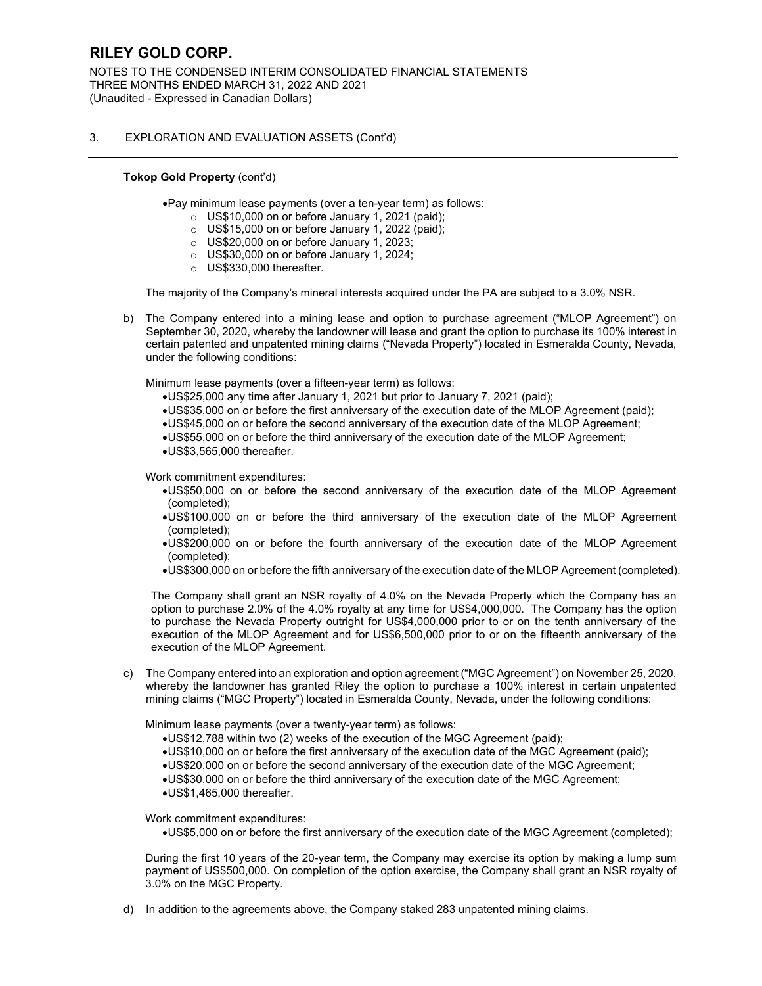NOTES TO THE CONDENSED INTERIM CONSOLIDATED FINANCIAL STATEMENTS THREE MONTHS ENDED MARCH 31, 2022 AND 2021 (Unaudited - Expressed in Canadian Dollars)

### 3. EXPLORATION AND EVALUATION ASSETS (Cont'd)

#### **Tokop Gold Property** (cont'd)

•Pay minimum lease payments (over a ten-year term) as follows:

- $\circ$  US\$10,000 on or before January 1, 2021 (paid);
- $\circ$  US\$15,000 on or before January 1, 2022 (paid);
- o US\$20,000 on or before January 1, 2023;
- o US\$30,000 on or before January 1, 2024;
- o US\$330,000 thereafter.

The majority of the Company's mineral interests acquired under the PA are subject to a 3.0% NSR.

b) The Company entered into a mining lease and option to purchase agreement ("MLOP Agreement") on September 30, 2020, whereby the landowner will lease and grant the option to purchase its 100% interest in certain patented and unpatented mining claims ("Nevada Property") located in Esmeralda County, Nevada, under the following conditions:

Minimum lease payments (over a fifteen-year term) as follows:

- •US\$25,000 any time after January 1, 2021 but prior to January 7, 2021 (paid);
- •US\$35,000 on or before the first anniversary of the execution date of the MLOP Agreement (paid);
- •US\$45,000 on or before the second anniversary of the execution date of the MLOP Agreement;
- •US\$55,000 on or before the third anniversary of the execution date of the MLOP Agreement;
- •US\$3,565,000 thereafter.

Work commitment expenditures:

- •US\$50,000 on or before the second anniversary of the execution date of the MLOP Agreement (completed);
- •US\$100,000 on or before the third anniversary of the execution date of the MLOP Agreement (completed);
- •US\$200,000 on or before the fourth anniversary of the execution date of the MLOP Agreement (completed);
- •US\$300,000 on or before the fifth anniversary of the execution date of the MLOP Agreement (completed).

The Company shall grant an NSR royalty of 4.0% on the Nevada Property which the Company has an option to purchase 2.0% of the 4.0% royalty at any time for US\$4,000,000. The Company has the option to purchase the Nevada Property outright for US\$4,000,000 prior to or on the tenth anniversary of the execution of the MLOP Agreement and for US\$6,500,000 prior to or on the fifteenth anniversary of the execution of the MLOP Agreement.

c) The Company entered into an exploration and option agreement ("MGC Agreement") on November 25, 2020, whereby the landowner has granted Riley the option to purchase a 100% interest in certain unpatented mining claims ("MGC Property") located in Esmeralda County, Nevada, under the following conditions:

Minimum lease payments (over a twenty-year term) as follows:

- •US\$12,788 within two (2) weeks of the execution of the MGC Agreement (paid);
- •US\$10,000 on or before the first anniversary of the execution date of the MGC Agreement (paid);
- •US\$20,000 on or before the second anniversary of the execution date of the MGC Agreement;
- •US\$30,000 on or before the third anniversary of the execution date of the MGC Agreement;
- •US\$1,465,000 thereafter.

Work commitment expenditures:

•US\$5,000 on or before the first anniversary of the execution date of the MGC Agreement (completed);

During the first 10 years of the 20-year term, the Company may exercise its option by making a lump sum payment of US\$500,000. On completion of the option exercise, the Company shall grant an NSR royalty of 3.0% on the MGC Property.

d) In addition to the agreements above, the Company staked 283 unpatented mining claims.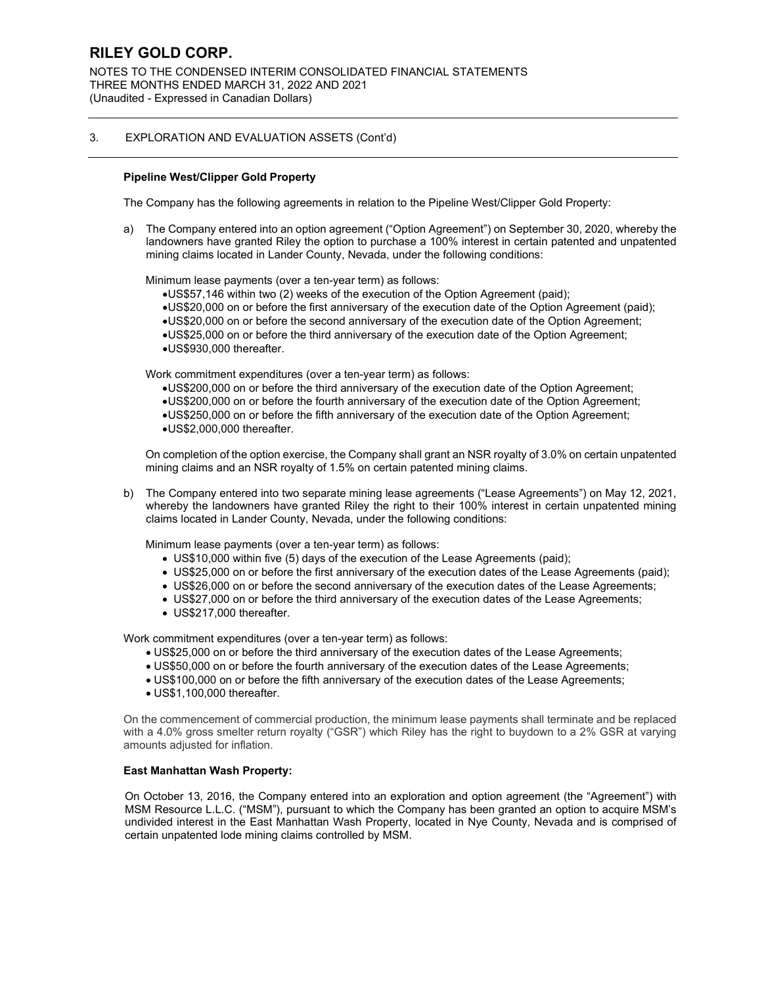NOTES TO THE CONDENSED INTERIM CONSOLIDATED FINANCIAL STATEMENTS THREE MONTHS ENDED MARCH 31, 2022 AND 2021 (Unaudited - Expressed in Canadian Dollars)

### 3. EXPLORATION AND EVALUATION ASSETS (Cont'd)

### **Pipeline West/Clipper Gold Property**

The Company has the following agreements in relation to the Pipeline West/Clipper Gold Property:

a) The Company entered into an option agreement ("Option Agreement") on September 30, 2020, whereby the landowners have granted Riley the option to purchase a 100% interest in certain patented and unpatented mining claims located in Lander County, Nevada, under the following conditions:

Minimum lease payments (over a ten-year term) as follows:

- •US\$57,146 within two (2) weeks of the execution of the Option Agreement (paid);
- •US\$20,000 on or before the first anniversary of the execution date of the Option Agreement (paid);
- •US\$20,000 on or before the second anniversary of the execution date of the Option Agreement;
- •US\$25,000 on or before the third anniversary of the execution date of the Option Agreement;
- •US\$930,000 thereafter.

Work commitment expenditures (over a ten-year term) as follows:

- •US\$200,000 on or before the third anniversary of the execution date of the Option Agreement;
- •US\$200,000 on or before the fourth anniversary of the execution date of the Option Agreement;
- •US\$250,000 on or before the fifth anniversary of the execution date of the Option Agreement;
- •US\$2,000,000 thereafter.

On completion of the option exercise, the Company shall grant an NSR royalty of 3.0% on certain unpatented mining claims and an NSR royalty of 1.5% on certain patented mining claims.

b) The Company entered into two separate mining lease agreements ("Lease Agreements") on May 12, 2021, whereby the landowners have granted Riley the right to their 100% interest in certain unpatented mining claims located in Lander County, Nevada, under the following conditions:

Minimum lease payments (over a ten-year term) as follows:

- US\$10,000 within five (5) days of the execution of the Lease Agreements (paid);
- US\$25,000 on or before the first anniversary of the execution dates of the Lease Agreements (paid):
- US\$26,000 on or before the second anniversary of the execution dates of the Lease Agreements;
- US\$27,000 on or before the third anniversary of the execution dates of the Lease Agreements;
- US\$217,000 thereafter.

Work commitment expenditures (over a ten-year term) as follows:

- US\$25,000 on or before the third anniversary of the execution dates of the Lease Agreements;
- US\$50,000 on or before the fourth anniversary of the execution dates of the Lease Agreements;
- US\$100,000 on or before the fifth anniversary of the execution dates of the Lease Agreements;
- US\$1,100,000 thereafter.

On the commencement of commercial production, the minimum lease payments shall terminate and be replaced with a 4.0% gross smelter return royalty ("GSR") which Riley has the right to buydown to a 2% GSR at varying amounts adjusted for inflation.

#### **East Manhattan Wash Property:**

On October 13, 2016, the Company entered into an exploration and option agreement (the "Agreement") with MSM Resource L.L.C. ("MSM"), pursuant to which the Company has been granted an option to acquire MSM's undivided interest in the East Manhattan Wash Property, located in Nye County, Nevada and is comprised of certain unpatented lode mining claims controlled by MSM.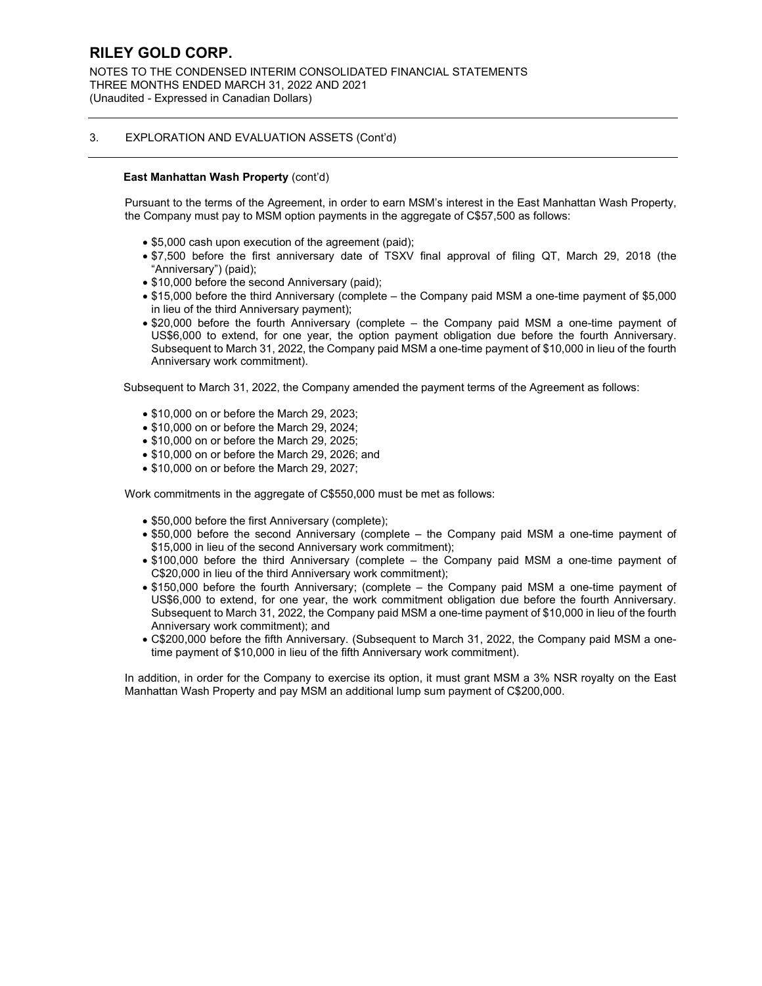NOTES TO THE CONDENSED INTERIM CONSOLIDATED FINANCIAL STATEMENTS THREE MONTHS ENDED MARCH 31, 2022 AND 2021 (Unaudited - Expressed in Canadian Dollars)

### 3. EXPLORATION AND EVALUATION ASSETS (Cont'd)

### **East Manhattan Wash Property** (cont'd)

Pursuant to the terms of the Agreement, in order to earn MSM's interest in the East Manhattan Wash Property, the Company must pay to MSM option payments in the aggregate of C\$57,500 as follows:

- \$5,000 cash upon execution of the agreement (paid);
- \$7,500 before the first anniversary date of TSXV final approval of filing QT, March 29, 2018 (the "Anniversary") (paid);
- \$10,000 before the second Anniversary (paid);
- \$15,000 before the third Anniversary (complete the Company paid MSM a one-time payment of \$5,000 in lieu of the third Anniversary payment);
- \$20,000 before the fourth Anniversary (complete the Company paid MSM a one-time payment of US\$6,000 to extend, for one year, the option payment obligation due before the fourth Anniversary. Subsequent to March 31, 2022, the Company paid MSM a one-time payment of \$10,000 in lieu of the fourth Anniversary work commitment).

Subsequent to March 31, 2022, the Company amended the payment terms of the Agreement as follows:

- \$10,000 on or before the March 29, 2023;
- \$10,000 on or before the March 29, 2024:
- \$10,000 on or before the March 29, 2025:
- \$10,000 on or before the March 29, 2026; and
- \$10,000 on or before the March 29, 2027;

Work commitments in the aggregate of C\$550,000 must be met as follows:

- \$50,000 before the first Anniversary (complete);
- \$50,000 before the second Anniversary (complete the Company paid MSM a one-time payment of \$15,000 in lieu of the second Anniversary work commitment);
- \$100,000 before the third Anniversary (complete the Company paid MSM a one-time payment of C\$20,000 in lieu of the third Anniversary work commitment);
- \$150,000 before the fourth Anniversary; (complete the Company paid MSM a one-time payment of US\$6,000 to extend, for one year, the work commitment obligation due before the fourth Anniversary. Subsequent to March 31, 2022, the Company paid MSM a one-time payment of \$10,000 in lieu of the fourth Anniversary work commitment); and
- C\$200,000 before the fifth Anniversary. (Subsequent to March 31, 2022, the Company paid MSM a onetime payment of \$10,000 in lieu of the fifth Anniversary work commitment).

In addition, in order for the Company to exercise its option, it must grant MSM a 3% NSR royalty on the East Manhattan Wash Property and pay MSM an additional lump sum payment of C\$200,000.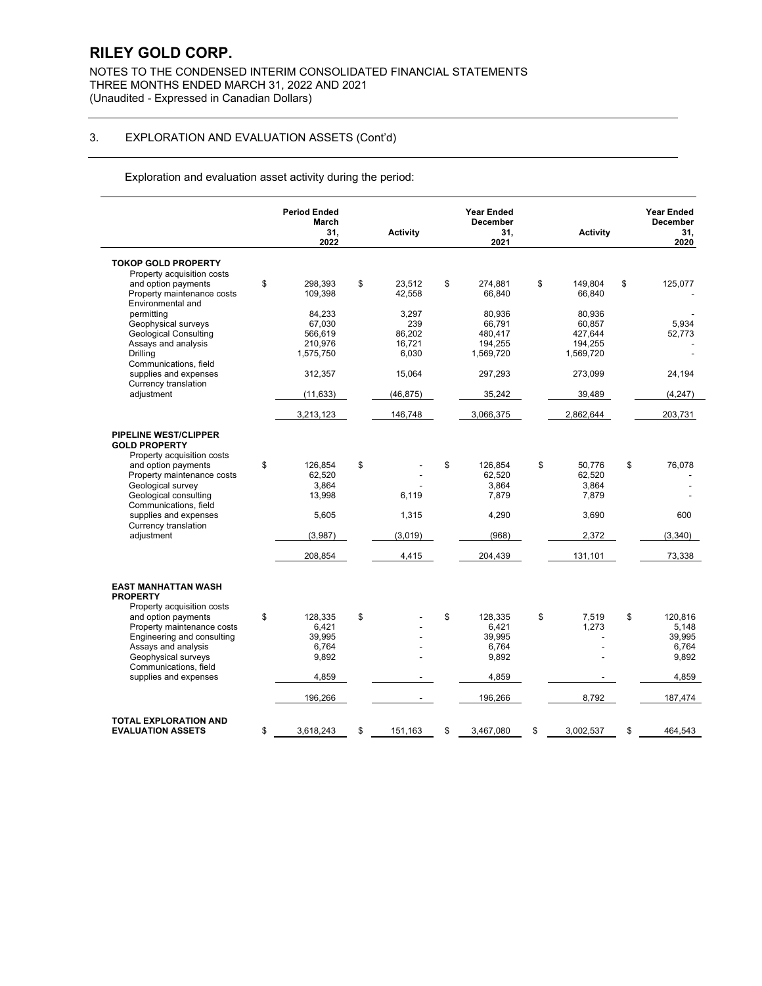NOTES TO THE CONDENSED INTERIM CONSOLIDATED FINANCIAL STATEMENTS THREE MONTHS ENDED MARCH 31, 2022 AND 2021 (Unaudited - Expressed in Canadian Dollars)

## 3. EXPLORATION AND EVALUATION ASSETS (Cont'd)

Exploration and evaluation asset activity during the period:

|                                                      | <b>Period Ended</b><br>March<br>31.<br>2022 | <b>Activity</b> | <b>Year Ended</b><br><b>December</b><br>31,<br>2021 | <b>Activity</b> | <b>Year Ended</b><br><b>December</b><br>31.<br>2020 |
|------------------------------------------------------|---------------------------------------------|-----------------|-----------------------------------------------------|-----------------|-----------------------------------------------------|
| <b>TOKOP GOLD PROPERTY</b>                           |                                             |                 |                                                     |                 |                                                     |
| Property acquisition costs                           |                                             |                 |                                                     |                 |                                                     |
| and option payments                                  | \$<br>298,393                               | \$<br>23,512    | \$<br>274,881                                       | \$<br>149.804   | \$<br>125,077                                       |
| Property maintenance costs                           | 109,398                                     | 42,558          | 66,840                                              | 66,840          |                                                     |
| Environmental and                                    |                                             |                 |                                                     |                 |                                                     |
| permitting                                           | 84,233                                      | 3,297           | 80,936                                              | 80,936          |                                                     |
| Geophysical surveys                                  | 67,030                                      | 239             | 66,791                                              | 60,857          | 5,934                                               |
| <b>Geological Consulting</b>                         | 566,619                                     | 86,202          | 480,417                                             | 427,644         | 52,773                                              |
| Assays and analysis                                  | 210,976                                     | 16.721          | 194.255                                             | 194,255         |                                                     |
| Drilling                                             | 1,575,750                                   | 6,030           | 1,569,720                                           | 1,569,720       |                                                     |
| Communications, field                                |                                             |                 |                                                     |                 |                                                     |
| supplies and expenses                                | 312,357                                     | 15,064          | 297,293                                             | 273,099         | 24,194                                              |
| Currency translation                                 |                                             |                 |                                                     |                 |                                                     |
| adjustment                                           | (11, 633)                                   | (46,875)        | 35,242                                              | 39,489          | (4, 247)                                            |
|                                                      | 3,213,123                                   | 146,748         | 3,066,375                                           | 2,862,644       | 203,731                                             |
|                                                      |                                             |                 |                                                     |                 |                                                     |
| <b>PIPELINE WEST/CLIPPER</b><br><b>GOLD PROPERTY</b> |                                             |                 |                                                     |                 |                                                     |
| Property acquisition costs                           |                                             |                 |                                                     |                 |                                                     |
| and option payments                                  | \$<br>126,854                               | \$              | \$<br>126,854                                       | \$<br>50.776    | \$<br>76,078                                        |
| Property maintenance costs                           | 62,520                                      |                 | 62,520                                              | 62,520          |                                                     |
| Geological survey                                    | 3,864                                       |                 | 3,864                                               | 3,864           |                                                     |
| Geological consulting                                | 13,998                                      | 6,119           | 7,879                                               | 7,879           |                                                     |
| Communications, field                                |                                             |                 |                                                     |                 |                                                     |
| supplies and expenses                                | 5,605                                       | 1,315           | 4,290                                               | 3,690           | 600                                                 |
| Currency translation                                 |                                             |                 |                                                     |                 |                                                     |
| adjustment                                           | (3,987)                                     | (3,019)         | (968)                                               | 2,372           | (3,340)                                             |
|                                                      | 208,854                                     | 4,415           | 204,439                                             | 131,101         | 73,338                                              |
|                                                      |                                             |                 |                                                     |                 |                                                     |
| <b>EAST MANHATTAN WASH</b>                           |                                             |                 |                                                     |                 |                                                     |
| <b>PROPERTY</b>                                      |                                             |                 |                                                     |                 |                                                     |
| Property acquisition costs                           |                                             |                 |                                                     |                 |                                                     |
| and option payments                                  | \$<br>128,335                               | \$              | \$<br>128,335                                       | \$<br>7,519     | \$<br>120,816                                       |
| Property maintenance costs                           | 6,421                                       |                 | 6,421                                               | 1,273           | 5,148                                               |
| Engineering and consulting                           | 39.995                                      |                 | 39.995                                              |                 | 39.995                                              |
| Assays and analysis                                  | 6,764                                       |                 | 6,764                                               |                 | 6,764                                               |
| Geophysical surveys                                  | 9,892                                       |                 | 9,892                                               |                 | 9,892                                               |
| Communications, field<br>supplies and expenses       | 4,859                                       |                 | 4,859                                               |                 | 4,859                                               |
|                                                      |                                             |                 |                                                     |                 |                                                     |
|                                                      | 196,266                                     |                 | 196,266                                             | 8,792           | 187,474                                             |
| <b>TOTAL EXPLORATION AND</b>                         |                                             |                 |                                                     |                 |                                                     |
| <b>EVALUATION ASSETS</b>                             | \$<br>3,618,243                             | \$<br>151,163   | \$<br>3,467,080                                     | \$<br>3,002,537 | \$<br>464.543                                       |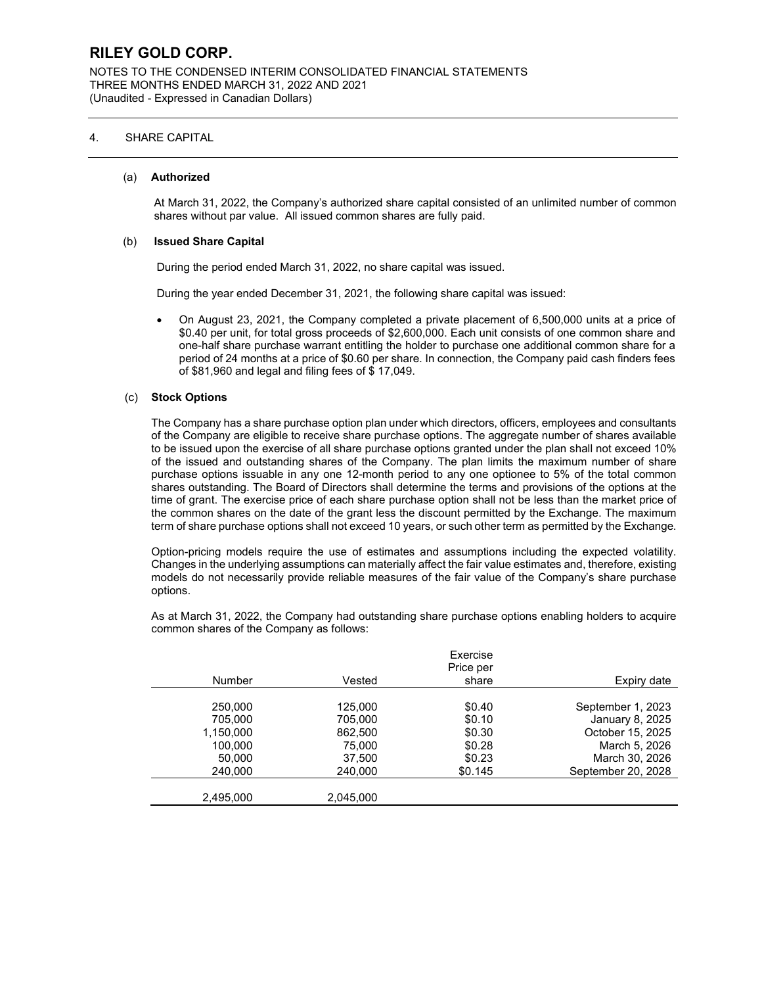NOTES TO THE CONDENSED INTERIM CONSOLIDATED FINANCIAL STATEMENTS THREE MONTHS ENDED MARCH 31, 2022 AND 2021 (Unaudited - Expressed in Canadian Dollars)

### 4. SHARE CAPITAL

#### (a) **Authorized**

At March 31, 2022, the Company's authorized share capital consisted of an unlimited number of common shares without par value. All issued common shares are fully paid.

#### (b) **Issued Share Capital**

During the period ended March 31, 2022, no share capital was issued.

During the year ended December 31, 2021, the following share capital was issued:

• On August 23, 2021, the Company completed a private placement of 6,500,000 units at a price of \$0.40 per unit, for total gross proceeds of \$2,600,000. Each unit consists of one common share and one-half share purchase warrant entitling the holder to purchase one additional common share for a period of 24 months at a price of \$0.60 per share. In connection, the Company paid cash finders fees of \$81,960 and legal and filing fees of \$ 17,049.

#### (c) **Stock Options**

The Company has a share purchase option plan under which directors, officers, employees and consultants of the Company are eligible to receive share purchase options. The aggregate number of shares available to be issued upon the exercise of all share purchase options granted under the plan shall not exceed 10% of the issued and outstanding shares of the Company. The plan limits the maximum number of share purchase options issuable in any one 12-month period to any one optionee to 5% of the total common shares outstanding. The Board of Directors shall determine the terms and provisions of the options at the time of grant. The exercise price of each share purchase option shall not be less than the market price of the common shares on the date of the grant less the discount permitted by the Exchange. The maximum term of share purchase options shall not exceed 10 years, or such other term as permitted by the Exchange.

Option-pricing models require the use of estimates and assumptions including the expected volatility. Changes in the underlying assumptions can materially affect the fair value estimates and, therefore, existing models do not necessarily provide reliable measures of the fair value of the Company's share purchase options.

As at March 31, 2022, the Company had outstanding share purchase options enabling holders to acquire common shares of the Company as follows:

|               |           | Exercise<br>Price per |                    |
|---------------|-----------|-----------------------|--------------------|
| <b>Number</b> | Vested    | share                 | Expiry date        |
|               |           |                       |                    |
| 250,000       | 125,000   | \$0.40                | September 1, 2023  |
| 705.000       | 705,000   | \$0.10                | January 8, 2025    |
| 1,150,000     | 862,500   | \$0.30                | October 15, 2025   |
| 100,000       | 75,000    | \$0.28                | March 5, 2026      |
| 50.000        | 37,500    | \$0.23                | March 30, 2026     |
| 240,000       | 240.000   | \$0.145               | September 20, 2028 |
|               |           |                       |                    |
| 2,495,000     | 2.045.000 |                       |                    |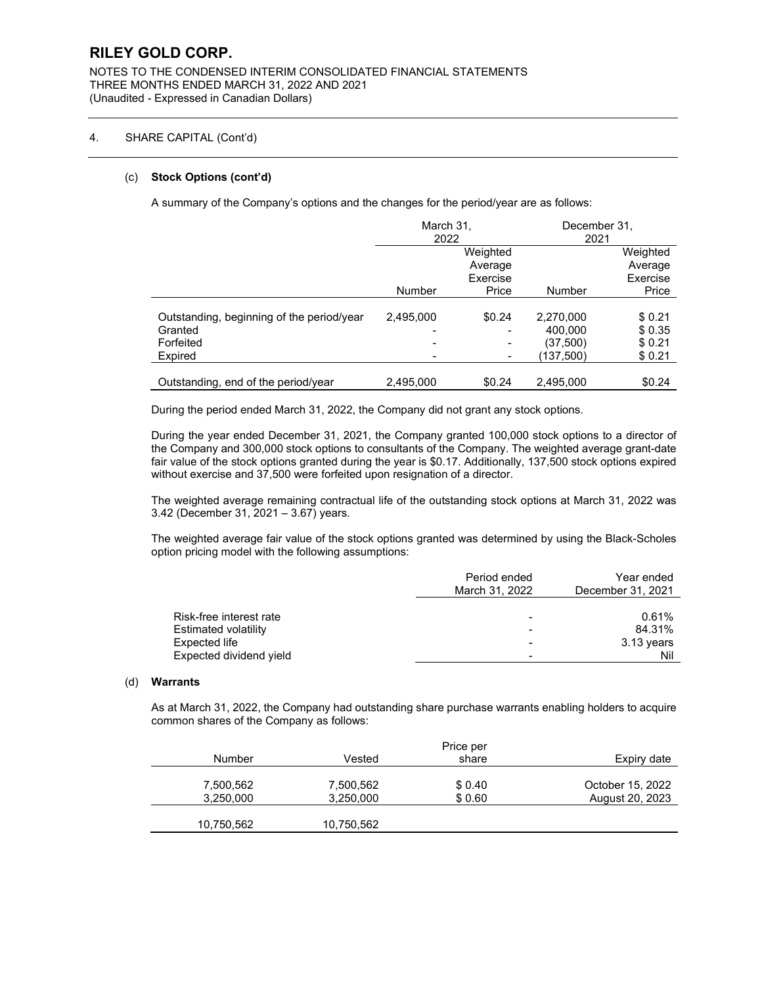NOTES TO THE CONDENSED INTERIM CONSOLIDATED FINANCIAL STATEMENTS THREE MONTHS ENDED MARCH 31, 2022 AND 2021 (Unaudited - Expressed in Canadian Dollars)

### 4. SHARE CAPITAL (Cont'd)

#### (c) **Stock Options (cont'd)**

A summary of the Company's options and the changes for the period/year are as follows:

|                                           | March 31,     |          | December 31, |          |
|-------------------------------------------|---------------|----------|--------------|----------|
|                                           | 2022          |          | 2021         |          |
|                                           |               | Weighted |              | Weighted |
|                                           |               | Average  |              | Average  |
|                                           |               | Exercise |              | Exercise |
|                                           | <b>Number</b> | Price    | Number       | Price    |
|                                           |               |          |              |          |
| Outstanding, beginning of the period/year | 2,495,000     | \$0.24   | 2,270,000    | \$0.21   |
| Granted                                   |               |          | 400.000      | \$0.35   |
| Forfeited                                 |               |          | (37,500)     | \$0.21   |
| Expired                                   |               |          | (137,500)    | \$0.21   |
|                                           |               |          |              |          |
| Outstanding, end of the period/year       | 2,495,000     | \$0.24   | 2,495,000    | \$0.24   |

During the period ended March 31, 2022, the Company did not grant any stock options.

During the year ended December 31, 2021, the Company granted 100,000 stock options to a director of the Company and 300,000 stock options to consultants of the Company. The weighted average grant-date fair value of the stock options granted during the year is \$0.17. Additionally, 137,500 stock options expired without exercise and 37,500 were forfeited upon resignation of a director.

The weighted average remaining contractual life of the outstanding stock options at March 31, 2022 was 3.42 (December 31, 2021 – 3.67) years.

The weighted average fair value of the stock options granted was determined by using the Black-Scholes option pricing model with the following assumptions:

|                                                                                             | Period ended<br>March 31, 2022 | Year ended<br>December 31, 2021      |
|---------------------------------------------------------------------------------------------|--------------------------------|--------------------------------------|
| Risk-free interest rate<br>Estimated volatility<br>Expected life<br>Expected dividend yield |                                | 0.61%<br>84.31%<br>3.13 years<br>Nil |

#### (d) **Warrants**

As at March 31, 2022, the Company had outstanding share purchase warrants enabling holders to acquire common shares of the Company as follows:

|            |            | Price per |                  |
|------------|------------|-----------|------------------|
| Number     | Vested     | share     | Expiry date      |
|            |            |           |                  |
| 7,500,562  | 7,500,562  | \$0.40    | October 15, 2022 |
| 3,250,000  | 3,250,000  | \$0.60    | August 20, 2023  |
|            |            |           |                  |
| 10,750,562 | 10,750,562 |           |                  |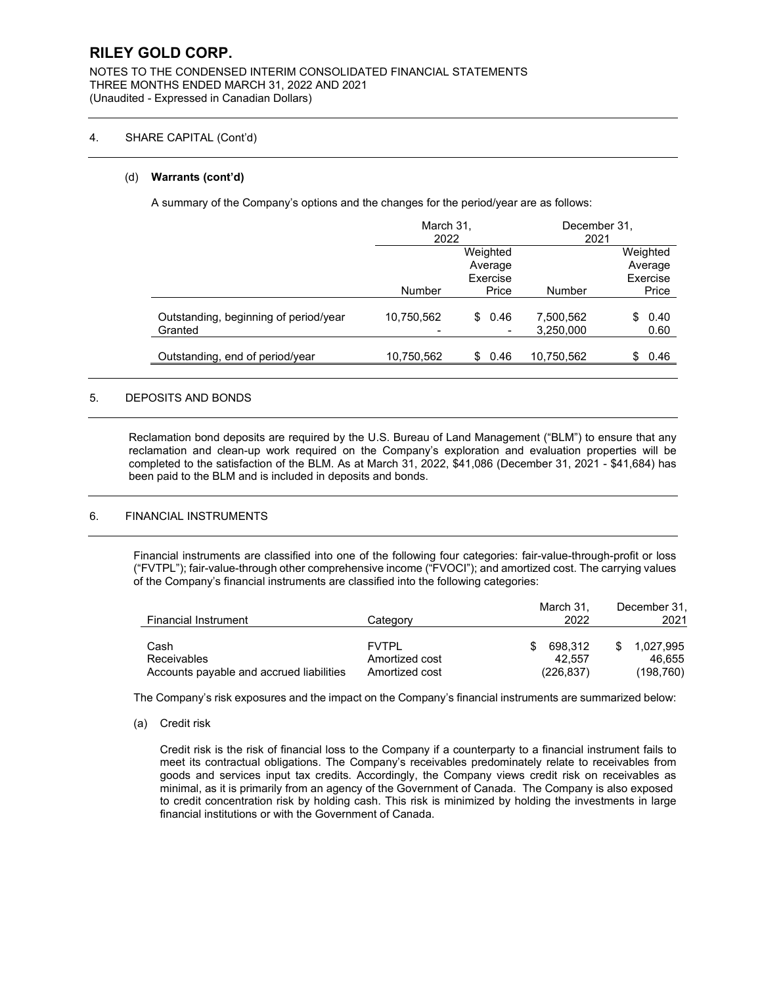NOTES TO THE CONDENSED INTERIM CONSOLIDATED FINANCIAL STATEMENTS THREE MONTHS ENDED MARCH 31, 2022 AND 2021 (Unaudited - Expressed in Canadian Dollars)

### 4. SHARE CAPITAL (Cont'd)

### (d) **Warrants (cont'd)**

A summary of the Company's options and the changes for the period/year are as follows:

|                                                  | March 31,<br>2022 |                                 | December 31,<br>2021   |                                 |  |  |
|--------------------------------------------------|-------------------|---------------------------------|------------------------|---------------------------------|--|--|
|                                                  |                   | Weighted<br>Average<br>Exercise |                        | Weighted<br>Average<br>Exercise |  |  |
|                                                  | Number            | Price                           | Number                 | Price                           |  |  |
| Outstanding, beginning of period/year<br>Granted | 10,750,562        | 0.46<br>\$                      | 7,500,562<br>3,250,000 | 0.40<br>\$.<br>0.60             |  |  |
| Outstanding, end of period/year                  | 10,750,562        | \$<br>0.46                      | 10,750,562             | 0.46<br>\$                      |  |  |

### 5. DEPOSITS AND BONDS

Reclamation bond deposits are required by the U.S. Bureau of Land Management ("BLM") to ensure that any reclamation and clean-up work required on the Company's exploration and evaluation properties will be completed to the satisfaction of the BLM. As at March 31, 2022, \$41,086 (December 31, 2021 - \$41,684) has been paid to the BLM and is included in deposits and bonds.

### 6. FINANCIAL INSTRUMENTS

Financial instruments are classified into one of the following four categories: fair-value-through-profit or loss ("FVTPL"); fair-value-through other comprehensive income ("FVOCI"); and amortized cost. The carrying values of the Company's financial instruments are classified into the following categories:

| <b>Financial Instrument</b>              | Category       | March 31.<br>2022 | December 31.<br>2021 |
|------------------------------------------|----------------|-------------------|----------------------|
|                                          |                |                   |                      |
| Cash                                     | <b>FVTPI</b>   | 698.312<br>Æ.     | 1.027.995            |
| Receivables                              | Amortized cost | 42.557            | 46.655               |
| Accounts payable and accrued liabilities | Amortized cost | (226, 837)        | (198, 760)           |

The Company's risk exposures and the impact on the Company's financial instruments are summarized below:

(a) Credit risk

Credit risk is the risk of financial loss to the Company if a counterparty to a financial instrument fails to meet its contractual obligations. The Company's receivables predominately relate to receivables from goods and services input tax credits. Accordingly, the Company views credit risk on receivables as minimal, as it is primarily from an agency of the Government of Canada. The Company is also exposed to credit concentration risk by holding cash. This risk is minimized by holding the investments in large financial institutions or with the Government of Canada.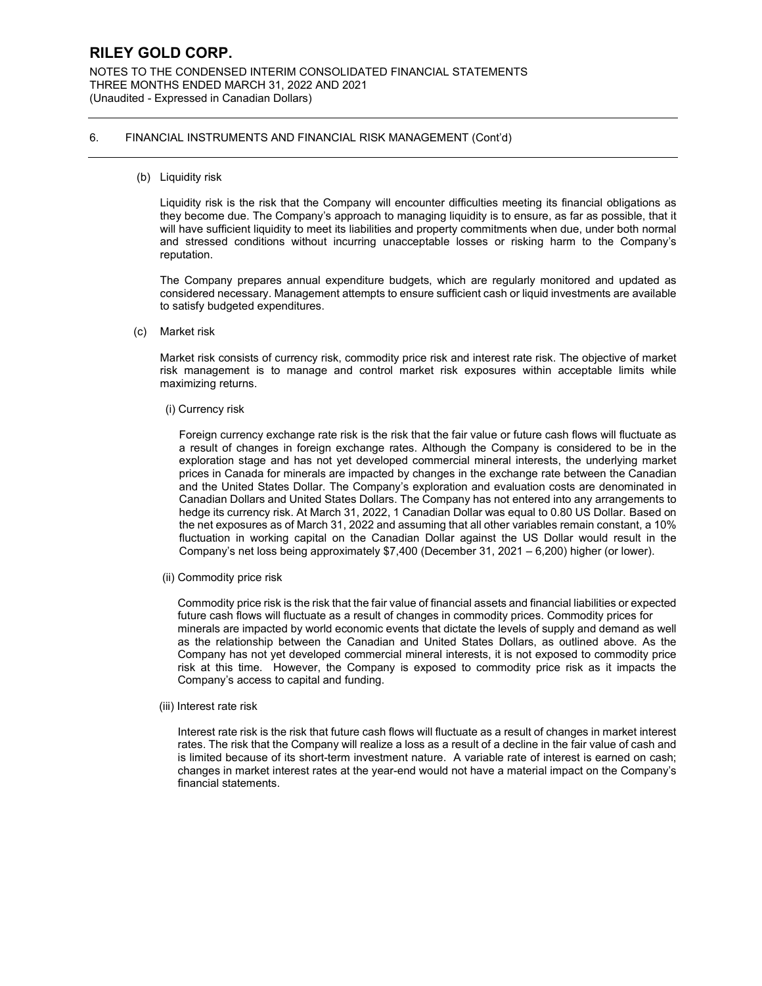NOTES TO THE CONDENSED INTERIM CONSOLIDATED FINANCIAL STATEMENTS THREE MONTHS ENDED MARCH 31, 2022 AND 2021 (Unaudited - Expressed in Canadian Dollars)

### 6. FINANCIAL INSTRUMENTS AND FINANCIAL RISK MANAGEMENT (Cont'd)

(b) Liquidity risk

Liquidity risk is the risk that the Company will encounter difficulties meeting its financial obligations as they become due. The Company's approach to managing liquidity is to ensure, as far as possible, that it will have sufficient liquidity to meet its liabilities and property commitments when due, under both normal and stressed conditions without incurring unacceptable losses or risking harm to the Company's reputation.

The Company prepares annual expenditure budgets, which are regularly monitored and updated as considered necessary. Management attempts to ensure sufficient cash or liquid investments are available to satisfy budgeted expenditures.

(c) Market risk

Market risk consists of currency risk, commodity price risk and interest rate risk. The objective of market risk management is to manage and control market risk exposures within acceptable limits while maximizing returns.

(i) Currency risk

Foreign currency exchange rate risk is the risk that the fair value or future cash flows will fluctuate as a result of changes in foreign exchange rates. Although the Company is considered to be in the exploration stage and has not yet developed commercial mineral interests, the underlying market prices in Canada for minerals are impacted by changes in the exchange rate between the Canadian and the United States Dollar. The Company's exploration and evaluation costs are denominated in Canadian Dollars and United States Dollars. The Company has not entered into any arrangements to hedge its currency risk. At March 31, 2022, 1 Canadian Dollar was equal to 0.80 US Dollar. Based on the net exposures as of March 31, 2022 and assuming that all other variables remain constant, a 10% fluctuation in working capital on the Canadian Dollar against the US Dollar would result in the Company's net loss being approximately \$7,400 (December 31, 2021 – 6,200) higher (or lower).

(ii) Commodity price risk

Commodity price risk is the risk that the fair value of financial assets and financial liabilities or expected future cash flows will fluctuate as a result of changes in commodity prices. Commodity prices for minerals are impacted by world economic events that dictate the levels of supply and demand as well as the relationship between the Canadian and United States Dollars, as outlined above. As the Company has not yet developed commercial mineral interests, it is not exposed to commodity price risk at this time. However, the Company is exposed to commodity price risk as it impacts the Company's access to capital and funding.

(iii) Interest rate risk

Interest rate risk is the risk that future cash flows will fluctuate as a result of changes in market interest rates. The risk that the Company will realize a loss as a result of a decline in the fair value of cash and is limited because of its short-term investment nature. A variable rate of interest is earned on cash; changes in market interest rates at the year-end would not have a material impact on the Company's financial statements.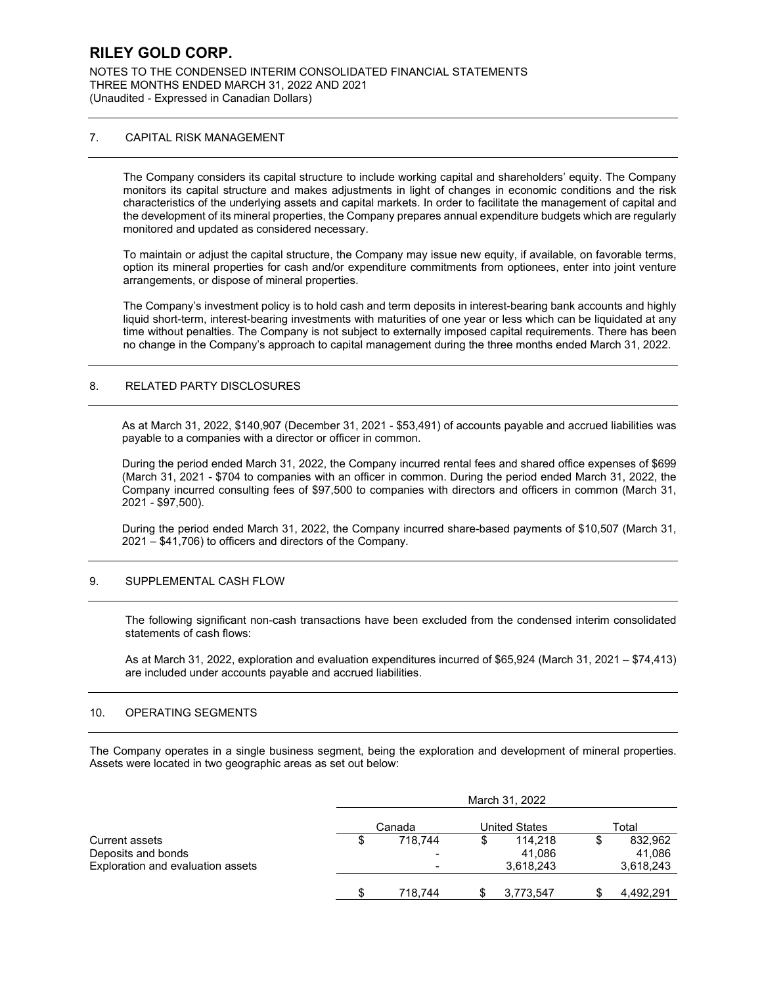NOTES TO THE CONDENSED INTERIM CONSOLIDATED FINANCIAL STATEMENTS THREE MONTHS ENDED MARCH 31, 2022 AND 2021 (Unaudited - Expressed in Canadian Dollars)

### 7. CAPITAL RISK MANAGEMENT

The Company considers its capital structure to include working capital and shareholders' equity. The Company monitors its capital structure and makes adjustments in light of changes in economic conditions and the risk characteristics of the underlying assets and capital markets. In order to facilitate the management of capital and the development of its mineral properties, the Company prepares annual expenditure budgets which are regularly monitored and updated as considered necessary.

To maintain or adjust the capital structure, the Company may issue new equity, if available, on favorable terms, option its mineral properties for cash and/or expenditure commitments from optionees, enter into joint venture arrangements, or dispose of mineral properties.

The Company's investment policy is to hold cash and term deposits in interest-bearing bank accounts and highly liquid short-term, interest-bearing investments with maturities of one year or less which can be liquidated at any time without penalties. The Company is not subject to externally imposed capital requirements. There has been no change in the Company's approach to capital management during the three months ended March 31, 2022.

### 8. RELATED PARTY DISCLOSURES

As at March 31, 2022, \$140,907 (December 31, 2021 - \$53,491) of accounts payable and accrued liabilities was payable to a companies with a director or officer in common.

During the period ended March 31, 2022, the Company incurred rental fees and shared office expenses of \$699 (March 31, 2021 - \$704 to companies with an officer in common. During the period ended March 31, 2022, the Company incurred consulting fees of \$97,500 to companies with directors and officers in common (March 31, 2021 - \$97,500).

During the period ended March 31, 2022, the Company incurred share-based payments of \$10,507 (March 31, 2021 – \$41,706) to officers and directors of the Company.

### 9. SUPPLEMENTAL CASH FLOW

The following significant non-cash transactions have been excluded from the condensed interim consolidated statements of cash flows:

As at March 31, 2022, exploration and evaluation expenditures incurred of \$65,924 (March 31, 2021 – \$74,413) are included under accounts payable and accrued liabilities.

### 10. OPERATING SEGMENTS

The Company operates in a single business segment, being the exploration and development of mineral properties. Assets were located in two geographic areas as set out below:

|                                   | March 31, 2022 |         |                      |           |       |           |  |  |
|-----------------------------------|----------------|---------|----------------------|-----------|-------|-----------|--|--|
|                                   | Canada         |         | <b>United States</b> |           | Total |           |  |  |
| Current assets                    | S              | 718.744 | S                    | 114.218   |       | 832,962   |  |  |
| Deposits and bonds                |                |         |                      | 41,086    |       | 41,086    |  |  |
| Exploration and evaluation assets |                | -       |                      | 3,618,243 |       | 3,618,243 |  |  |
|                                   |                | 718.744 |                      | 3,773,547 |       | 4,492,291 |  |  |